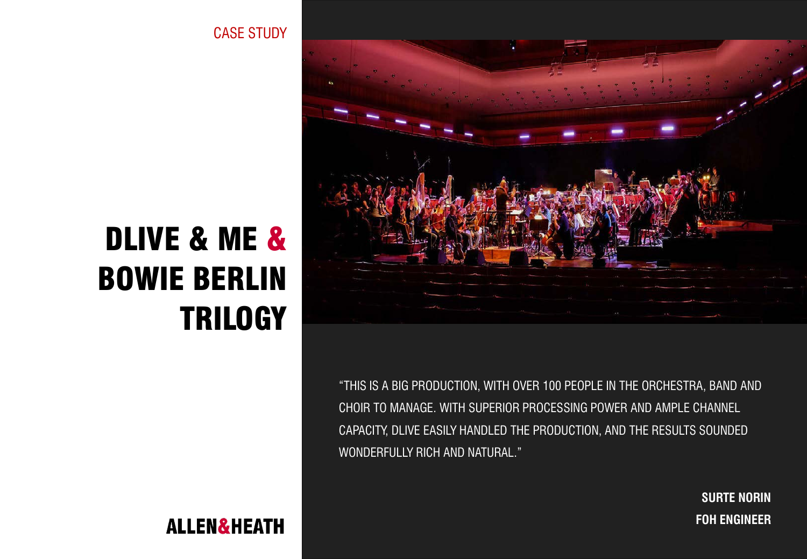CASE STUDY

# DLIVE & ME & BOWIE BERLIN **TRILOGY**





"THIS IS A BIG PRODUCTION, WITH OVER 100 PEOPLE IN THE ORCHESTRA, BAND AND CHOIR TO MANAGE. WITH SUPERIOR PROCESSING POWER AND AMPLE CHANNEL CAPACITY, DLIVE EASILY HANDLED THE PRODUCTION, AND THE RESULTS SOUNDED WONDERFULLY RICH AND NATURAL."

> **SURTE NORIN FOH ENGINEER**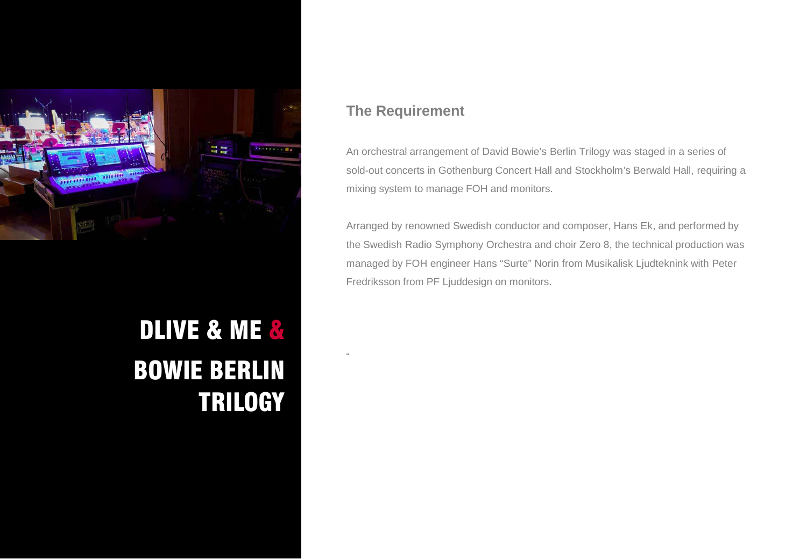

## DLIVE & ME & BOWIE BERLIN **TRILOGY**

### **The Requirement**

"

An orchestral arrangement of David Bowie's Berlin Trilogy was staged in a series of sold-out concerts in Gothenburg Concert Hall and Stockholm's Berwald Hall, requiring a mixing system to manage FOH and monitors.

Arranged by renowned Swedish conductor and composer, Hans Ek, and performed by the Swedish Radio Symphony Orchestra and choir Zero 8, the technical production was managed by FOH engineer Hans "Surte" Norin from Musikalisk Ljudteknink with Peter Fredriksson from PF Ljuddesign on monitors.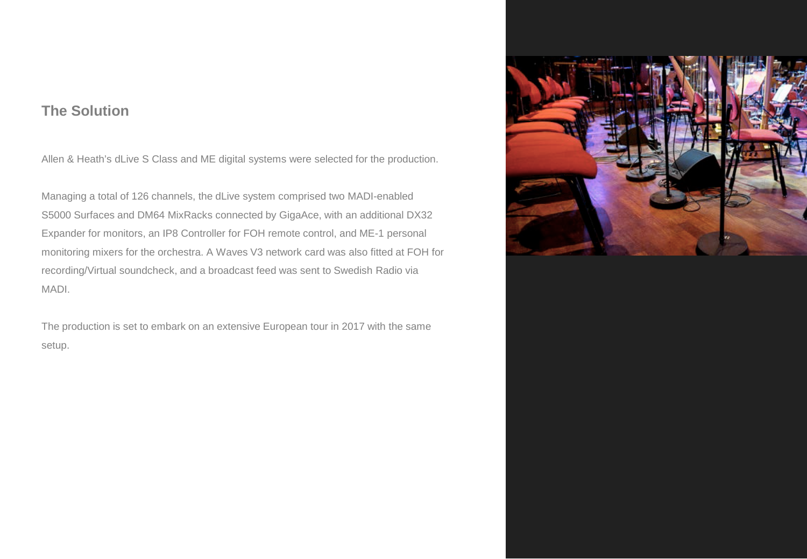#### **The Solution**

Allen & Heath's dLive S Class and ME digital systems were selected for the production.

Managing a total of 126 channels, the dLive system comprised two MADI-enabled S5000 Surfaces and DM64 MixRacks connected by GigaAce, with an additional DX32 Expander for monitors, an IP8 Controller for FOH remote control, and ME-1 personal monitoring mixers for the orchestra. A Waves V3 network card was also fitted at FOH for recording/Virtual soundcheck, and a broadcast feed was sent to Swedish Radio via MADI.

The production is set to embark on an extensive European tour in 2017 with the same setup.